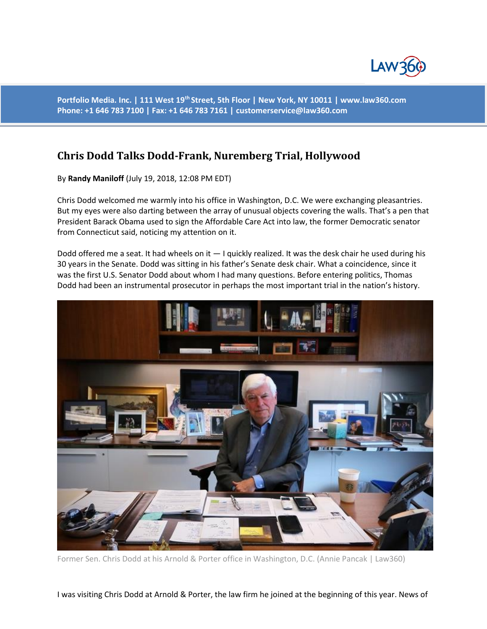

**Portfolio Media. Inc. | 111 West 19th Street, 5th Floor | New York, NY 10011 | www.law360.com Phone: +1 646 783 7100 | Fax: +1 646 783 7161 | customerservice@law360.com**

# **Chris Dodd Talks Dodd-Frank, Nuremberg Trial, Hollywood**

By **Randy Maniloff** (July 19, 2018, 12:08 PM EDT)

Chris Dodd welcomed me warmly into his office in Washington, D.C. We were exchanging pleasantries. But my eyes were also darting between the array of unusual objects covering the walls. That's a pen that President Barack Obama used to sign the Affordable Care Act into law, the former Democratic senator from Connecticut said, noticing my attention on it.

Dodd offered me a seat. It had wheels on it  $-1$  quickly realized. It was the desk chair he used during his 30 years in the Senate. Dodd was sitting in his father's Senate desk chair. What a coincidence, since it was the first U.S. Senator Dodd about whom I had many questions. Before entering politics, Thomas Dodd had been an instrumental prosecutor in perhaps the most important trial in the nation's history.



Former Sen. Chris Dodd at his Arnold & Porter office in Washington, D.C. (Annie Pancak | Law360)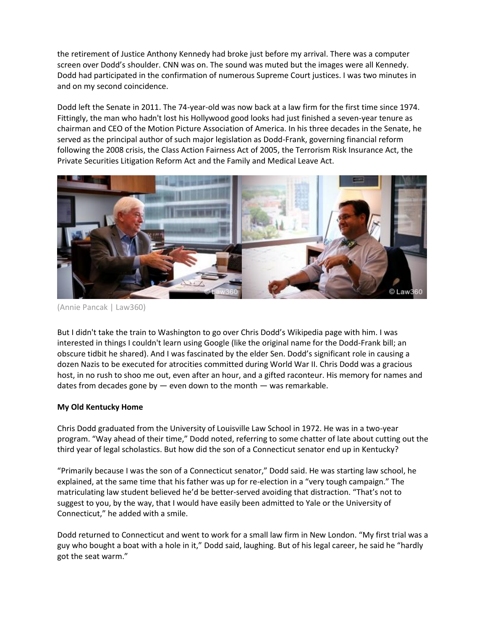the retirement of Justice Anthony Kennedy had broke just before my arrival. There was a computer screen over Dodd's shoulder. CNN was on. The sound was muted but the images were all Kennedy. Dodd had participated in the confirmation of numerous Supreme Court justices. I was two minutes in and on my second coincidence.

Dodd left the Senate in 2011. The 74-year-old was now back at a law firm for the first time since 1974. Fittingly, the man who hadn't lost his Hollywood good looks had just finished a seven-year tenure as chairman and CEO of the Motion Picture Association of America. In his three decades in the Senate, he served as the principal author of such major legislation as Dodd-Frank, governing financial reform following the 2008 crisis, the Class Action Fairness Act of 2005, the Terrorism Risk Insurance Act, the Private Securities Litigation Reform Act and the Family and Medical Leave Act.



(Annie Pancak | Law360)

But I didn't take the train to Washington to go over Chris Dodd's Wikipedia page with him. I was interested in things I couldn't learn using Google (like the original name for the Dodd-Frank bill; an obscure tidbit he shared). And I was fascinated by the elder Sen. Dodd's significant role in causing a dozen Nazis to be executed for atrocities committed during World War II. Chris Dodd was a gracious host, in no rush to shoo me out, even after an hour, and a gifted raconteur. His memory for names and dates from decades gone by  $-$  even down to the month  $-$  was remarkable.

# **My Old Kentucky Home**

Chris Dodd graduated from the University of Louisville Law School in 1972. He was in a two-year program. "Way ahead of their time," Dodd noted, referring to some chatter of late about cutting out the third year of legal scholastics. But how did the son of a Connecticut senator end up in Kentucky?

"Primarily because I was the son of a Connecticut senator," Dodd said. He was starting law school, he explained, at the same time that his father was up for re-election in a "very tough campaign." The matriculating law student believed he'd be better-served avoiding that distraction. "That's not to suggest to you, by the way, that I would have easily been admitted to Yale or the University of Connecticut," he added with a smile.

Dodd returned to Connecticut and went to work for a small law firm in New London. "My first trial was a guy who bought a boat with a hole in it," Dodd said, laughing. But of his legal career, he said he "hardly got the seat warm."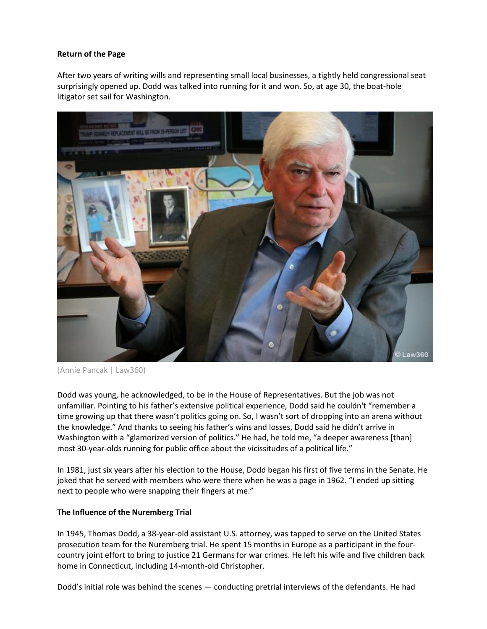## **Return of the Page**

After two years of writing wills and representing small local businesses, a tightly held congressional seat surprisingly opened up. Dodd was talked into running for it and won. So, at age 30, the boat-hole litigator set sail for Washington.



(Annie Pancak | Law360)

Dodd was young, he acknowledged, to be in the House of Representatives. But the job was not unfamiliar. Pointing to his father's extensive political experience, Dodd said he couldn't "remember a time growing up that there wasn't politics going on. So, I wasn't sort of dropping into an arena without the knowledge." And thanks to seeing his father's wins and losses, Dodd said he didn't arrive in Washington with a "glamorized version of politics." He had, he told me, "a deeper awareness [than] most 30-year-olds running for public office about the vicissitudes of a political life."

In 1981, just six years after his election to the House, Dodd began his first of five terms in the Senate. He joked that he served with members who were there when he was a page in 1962. "I ended up sitting next to people who were snapping their fingers at me."

# **The Influence of the Nuremberg Trial**

In 1945, Thomas Dodd, a 38-year-old assistant U.S. attorney, was tapped to serve on the United States prosecution team for the Nuremberg trial. He spent 15 months in Europe as a participant in the fourcountry joint effort to bring to justice 21 Germans for war crimes. He left his wife and five children back home in Connecticut, including 14-month-old Christopher.

Dodd's initial role was behind the scenes — conducting pretrial interviews of the defendants. He had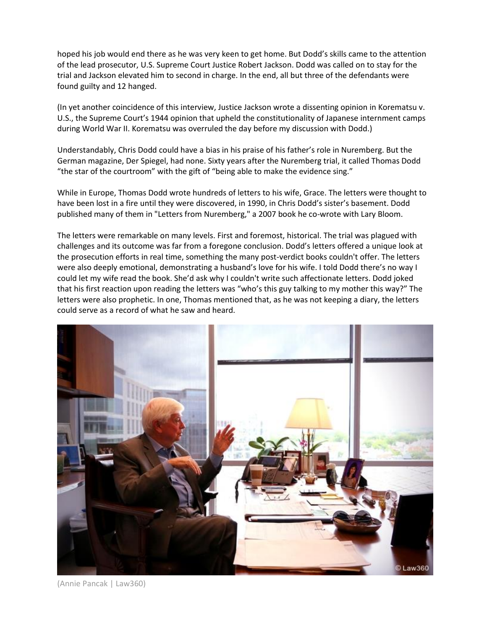hoped his job would end there as he was very keen to get home. But Dodd's skills came to the attention of the lead prosecutor, U.S. Supreme Court Justice Robert Jackson. Dodd was called on to stay for the trial and Jackson elevated him to second in charge. In the end, all but three of the defendants were found guilty and 12 hanged.

(In yet another coincidence of this interview, Justice Jackson wrote a dissenting opinion in Korematsu v. U.S., the Supreme Court's 1944 opinion that upheld the constitutionality of Japanese internment camps during World War II. Korematsu was overruled the day before my discussion with Dodd.)

Understandably, Chris Dodd could have a bias in his praise of his father's role in Nuremberg. But the German magazine, Der Spiegel, had none. Sixty years after the Nuremberg trial, it called Thomas Dodd "the star of the courtroom" with the gift of "being able to make the evidence sing."

While in Europe, Thomas Dodd wrote hundreds of letters to his wife, Grace. The letters were thought to have been lost in a fire until they were discovered, in 1990, in Chris Dodd's sister's basement. Dodd published many of them in "Letters from Nuremberg," a 2007 book he co-wrote with Lary Bloom.

The letters were remarkable on many levels. First and foremost, historical. The trial was plagued with challenges and its outcome was far from a foregone conclusion. Dodd's letters offered a unique look at the prosecution efforts in real time, something the many post-verdict books couldn't offer. The letters were also deeply emotional, demonstrating a husband's love for his wife. I told Dodd there's no way I could let my wife read the book. She'd ask why I couldn't write such affectionate letters. Dodd joked that his first reaction upon reading the letters was "who's this guy talking to my mother this way?" The letters were also prophetic. In one, Thomas mentioned that, as he was not keeping a diary, the letters could serve as a record of what he saw and heard.



(Annie Pancak | Law360)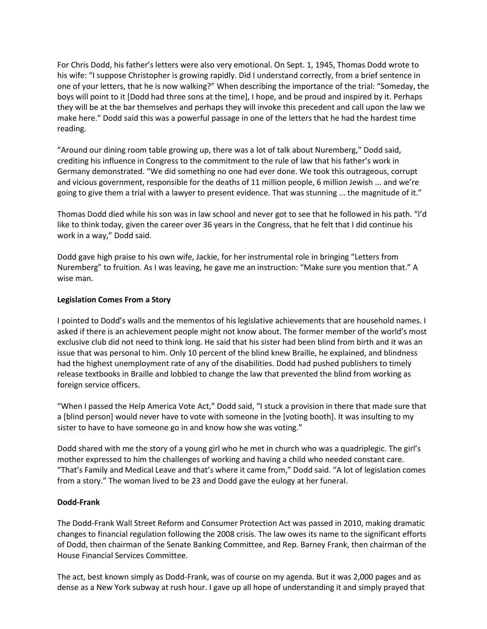For Chris Dodd, his father's letters were also very emotional. On Sept. 1, 1945, Thomas Dodd wrote to his wife: "I suppose Christopher is growing rapidly. Did I understand correctly, from a brief sentence in one of your letters, that he is now walking?" When describing the importance of the trial: "Someday, the boys will point to it [Dodd had three sons at the time], I hope, and be proud and inspired by it. Perhaps they will be at the bar themselves and perhaps they will invoke this precedent and call upon the law we make here." Dodd said this was a powerful passage in one of the letters that he had the hardest time reading.

"Around our dining room table growing up, there was a lot of talk about Nuremberg," Dodd said, crediting his influence in Congress to the commitment to the rule of law that his father's work in Germany demonstrated. "We did something no one had ever done. We took this outrageous, corrupt and vicious government, responsible for the deaths of 11 million people, 6 million Jewish ... and we're going to give them a trial with a lawyer to present evidence. That was stunning ... the magnitude of it."

Thomas Dodd died while his son was in law school and never got to see that he followed in his path. "I'd like to think today, given the career over 36 years in the Congress, that he felt that I did continue his work in a way," Dodd said.

Dodd gave high praise to his own wife, Jackie, for her instrumental role in bringing "Letters from Nuremberg" to fruition. As I was leaving, he gave me an instruction: "Make sure you mention that." A wise man.

### **Legislation Comes From a Story**

I pointed to Dodd's walls and the mementos of his legislative achievements that are household names. I asked if there is an achievement people might not know about. The former member of the world's most exclusive club did not need to think long. He said that his sister had been blind from birth and it was an issue that was personal to him. Only 10 percent of the blind knew Braille, he explained, and blindness had the highest unemployment rate of any of the disabilities. Dodd had pushed publishers to timely release textbooks in Braille and lobbied to change the law that prevented the blind from working as foreign service officers.

"When I passed the Help America Vote Act," Dodd said, "I stuck a provision in there that made sure that a [blind person] would never have to vote with someone in the [voting booth]. It was insulting to my sister to have to have someone go in and know how she was voting."

Dodd shared with me the story of a young girl who he met in church who was a quadriplegic. The girl's mother expressed to him the challenges of working and having a child who needed constant care. "That's Family and Medical Leave and that's where it came from," Dodd said. "A lot of legislation comes from a story." The woman lived to be 23 and Dodd gave the eulogy at her funeral.

#### **Dodd-Frank**

The Dodd-Frank Wall Street Reform and Consumer Protection Act was passed in 2010, making dramatic changes to financial regulation following the 2008 crisis. The law owes its name to the significant efforts of Dodd, then chairman of the Senate Banking Committee, and Rep. Barney Frank, then chairman of the House Financial Services Committee.

The act, best known simply as Dodd-Frank, was of course on my agenda. But it was 2,000 pages and as dense as a New York subway at rush hour. I gave up all hope of understanding it and simply prayed that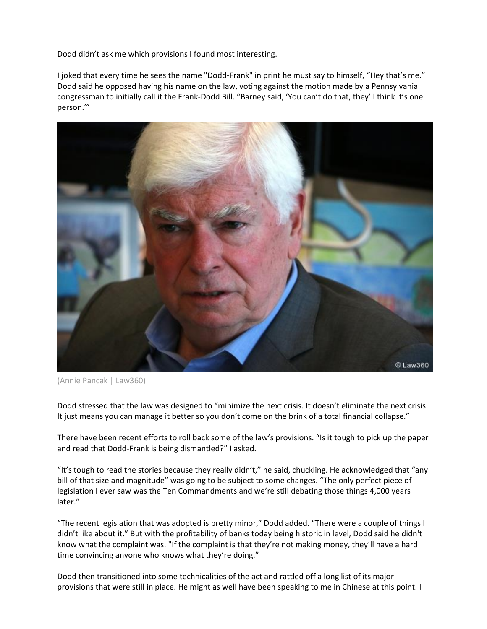Dodd didn't ask me which provisions I found most interesting.

I joked that every time he sees the name "Dodd-Frank" in print he must say to himself, "Hey that's me." Dodd said he opposed having his name on the law, voting against the motion made by a Pennsylvania congressman to initially call it the Frank-Dodd Bill. "Barney said, 'You can't do that, they'll think it's one person.'"



<sup>(</sup>Annie Pancak | Law360)

Dodd stressed that the law was designed to "minimize the next crisis. It doesn't eliminate the next crisis. It just means you can manage it better so you don't come on the brink of a total financial collapse."

There have been recent efforts to roll back some of the law's provisions. "Is it tough to pick up the paper and read that Dodd-Frank is being dismantled?" I asked.

"It's tough to read the stories because they really didn't," he said, chuckling. He acknowledged that "any bill of that size and magnitude" was going to be subject to some changes. "The only perfect piece of legislation I ever saw was the Ten Commandments and we're still debating those things 4,000 years later."

"The recent legislation that was adopted is pretty minor," Dodd added. "There were a couple of things I didn't like about it." But with the profitability of banks today being historic in level, Dodd said he didn't know what the complaint was. "If the complaint is that they're not making money, they'll have a hard time convincing anyone who knows what they're doing."

Dodd then transitioned into some technicalities of the act and rattled off a long list of its major provisions that were still in place. He might as well have been speaking to me in Chinese at this point. I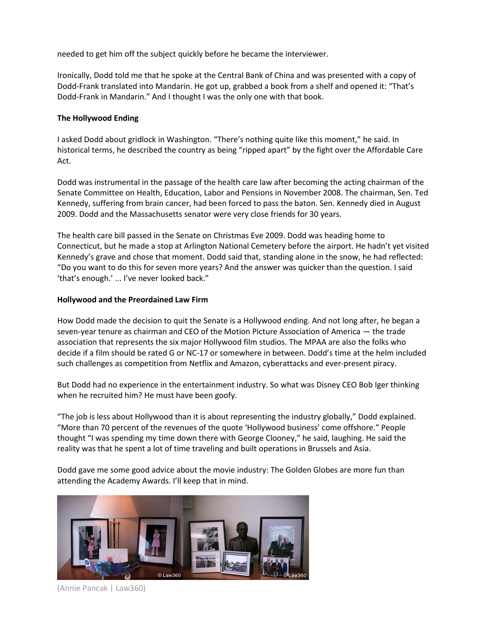needed to get him off the subject quickly before he became the interviewer.

Ironically, Dodd told me that he spoke at the Central Bank of China and was presented with a copy of Dodd-Frank translated into Mandarin. He got up, grabbed a book from a shelf and opened it: "That's Dodd-Frank in Mandarin." And I thought I was the only one with that book.

#### **The Hollywood Ending**

I asked Dodd about gridlock in Washington. "There's nothing quite like this moment," he said. In historical terms, he described the country as being "ripped apart" by the fight over the Affordable Care Act.

Dodd was instrumental in the passage of the health care law after becoming the acting chairman of the Senate Committee on Health, Education, Labor and Pensions in November 2008. The chairman, Sen. Ted Kennedy, suffering from brain cancer, had been forced to pass the baton. Sen. Kennedy died in August 2009. Dodd and the Massachusetts senator were very close friends for 30 years.

The health care bill passed in the Senate on Christmas Eve 2009. Dodd was heading home to Connecticut, but he made a stop at Arlington National Cemetery before the airport. He hadn't yet visited Kennedy's grave and chose that moment. Dodd said that, standing alone in the snow, he had reflected: "Do you want to do this for seven more years? And the answer was quicker than the question. I said 'that's enough.' ... I've never looked back."

### **Hollywood and the Preordained Law Firm**

How Dodd made the decision to quit the Senate is a Hollywood ending. And not long after, he began a seven-year tenure as chairman and CEO of the Motion Picture Association of America — the trade association that represents the six major Hollywood film studios. The MPAA are also the folks who decide if a film should be rated G or NC-17 or somewhere in between. Dodd's time at the helm included such challenges as competition from Netflix and Amazon, cyberattacks and ever-present piracy.

But Dodd had no experience in the entertainment industry. So what was Disney CEO Bob Iger thinking when he recruited him? He must have been goofy.

"The job is less about Hollywood than it is about representing the industry globally," Dodd explained. "More than 70 percent of the revenues of the quote 'Hollywood business' come offshore." People thought "I was spending my time down there with George Clooney," he said, laughing. He said the reality was that he spent a lot of time traveling and built operations in Brussels and Asia.

Dodd gave me some good advice about the movie industry: The Golden Globes are more fun than attending the Academy Awards. I'll keep that in mind.



(Annie Pancak | Law360)